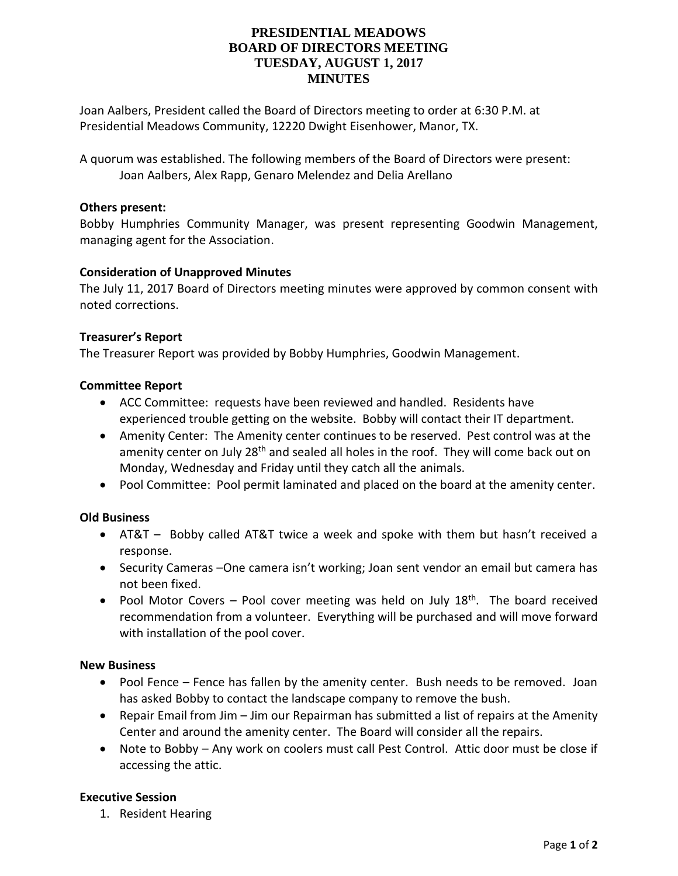# **PRESIDENTIAL MEADOWS BOARD OF DIRECTORS MEETING TUESDAY, AUGUST 1, 2017 MINUTES**

Joan Aalbers, President called the Board of Directors meeting to order at 6:30 P.M. at Presidential Meadows Community, 12220 Dwight Eisenhower, Manor, TX.

A quorum was established. The following members of the Board of Directors were present: Joan Aalbers, Alex Rapp, Genaro Melendez and Delia Arellano

### **Others present:**

Bobby Humphries Community Manager, was present representing Goodwin Management, managing agent for the Association.

### **Consideration of Unapproved Minutes**

The July 11, 2017 Board of Directors meeting minutes were approved by common consent with noted corrections.

## **Treasurer's Report**

The Treasurer Report was provided by Bobby Humphries, Goodwin Management.

### **Committee Report**

- ACC Committee: requests have been reviewed and handled. Residents have experienced trouble getting on the website. Bobby will contact their IT department.
- Amenity Center: The Amenity center continues to be reserved. Pest control was at the amenity center on July 28<sup>th</sup> and sealed all holes in the roof. They will come back out on Monday, Wednesday and Friday until they catch all the animals.
- Pool Committee: Pool permit laminated and placed on the board at the amenity center.

## **Old Business**

- AT&T Bobby called AT&T twice a week and spoke with them but hasn't received a response.
- Security Cameras –One camera isn't working; Joan sent vendor an email but camera has not been fixed.
- Pool Motor Covers Pool cover meeting was held on July  $18<sup>th</sup>$ . The board received recommendation from a volunteer. Everything will be purchased and will move forward with installation of the pool cover.

#### **New Business**

- Pool Fence Fence has fallen by the amenity center. Bush needs to be removed. Joan has asked Bobby to contact the landscape company to remove the bush.
- Repair Email from Jim Jim our Repairman has submitted a list of repairs at the Amenity Center and around the amenity center. The Board will consider all the repairs.
- Note to Bobby Any work on coolers must call Pest Control. Attic door must be close if accessing the attic.

## **Executive Session**

1. Resident Hearing